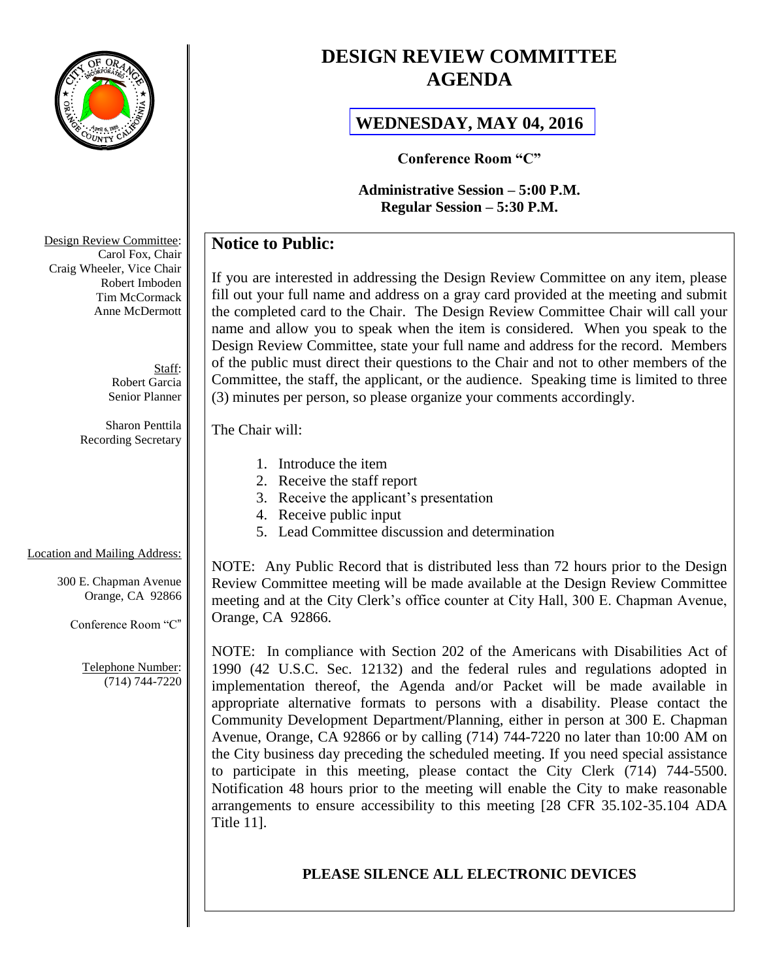

# **DESIGN REVIEW COMMITTEE AGENDA**

## **[WEDNESDAY, MAY 04, 2016](http://webadmin.cityoforange.org/civicax/filebank/blobdload.aspx?BlobID=17676)**

**Conference Room "C"**

**Administrative Session – 5:00 P.M. Regular Session – 5:30 P.M.**

## **Notice to Public:**

If you are interested in addressing the Design Review Committee on any item, please fill out your full name and address on a gray card provided at the meeting and submit the completed card to the Chair. The Design Review Committee Chair will call your name and allow you to speak when the item is considered. When you speak to the Design Review Committee, state your full name and address for the record. Members of the public must direct their questions to the Chair and not to other members of the Committee, the staff, the applicant, or the audience. Speaking time is limited to three (3) minutes per person, so please organize your comments accordingly.

### The Chair will:

- 1. Introduce the item
- 2. Receive the staff report
- 3. Receive the applicant's presentation
- 4. Receive public input
- 5. Lead Committee discussion and determination

## Location and Mailing Address:

300 E. Chapman Avenue Orange, CA 92866

Conference Room "C"

Telephone Number: (714) 744-7220 NOTE: Any Public Record that is distributed less than 72 hours prior to the Design Review Committee meeting will be made available at the Design Review Committee meeting and at the City Clerk's office counter at City Hall, 300 E. Chapman Avenue, Orange, CA 92866.

NOTE: In compliance with Section 202 of the Americans with Disabilities Act of 1990 (42 U.S.C. Sec. 12132) and the federal rules and regulations adopted in implementation thereof, the Agenda and/or Packet will be made available in appropriate alternative formats to persons with a disability. Please contact the Community Development Department/Planning, either in person at 300 E. Chapman Avenue, Orange, CA 92866 or by calling (714) 744-7220 no later than 10:00 AM on the City business day preceding the scheduled meeting. If you need special assistance to participate in this meeting, please contact the City Clerk (714) 744-5500. Notification 48 hours prior to the meeting will enable the City to make reasonable arrangements to ensure accessibility to this meeting [28 CFR 35.102-35.104 ADA Title 11].

## **PLEASE SILENCE ALL ELECTRONIC DEVICES**

Design Review Committee: Carol Fox, Chair Craig Wheeler, Vice Chair Robert Imboden Tim McCormack Anne McDermott

> Staff: Robert Garcia Senior Planner

Sharon Penttila Recording Secretary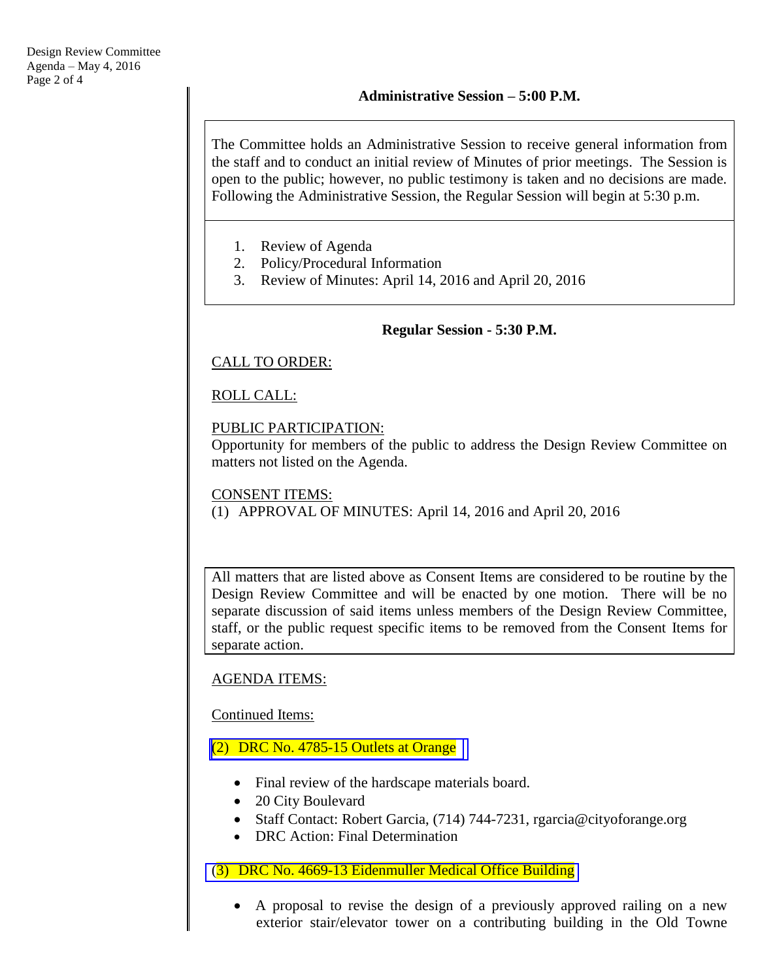The Committee holds an Administrative Session to receive general information from the staff and to conduct an initial review of Minutes of prior meetings. The Session is open to the public; however, no public testimony is taken and no decisions are made. Following the Administrative Session, the Regular Session will begin at 5:30 p.m.

- 1. Review of Agenda
- 2. Policy/Procedural Information
- 3. Review of Minutes: April 14, 2016 and April 20, 2016

### **Regular Session - 5:30 P.M.**

### CALL TO ORDER:

## ROLL CALL:

### PUBLIC PARTICIPATION:

Opportunity for members of the public to address the Design Review Committee on matters not listed on the Agenda.

# CONSENT ITEMS:

### (1) APPROVAL OF MINUTES: April 14, 2016 and April 20, 2016

All matters that are listed above as Consent Items are considered to be routine by the Design Review Committee and will be enacted by one motion. There will be no separate discussion of said items unless members of the Design Review Committee, staff, or the public request specific items to be removed from the Consent Items for separate action.

## AGENDA ITEMS:

Continued Items:

## (2) [DRC No. 4785-15 Outlets at Orange](http://webadmin.cityoforange.org/civicax/filebank/blobdload.aspx?BlobID=17676)

- Final review of the hardscape materials board.
- 20 City Boulevard
- Staff Contact: Robert Garcia, (714) 744-7231, rgarcia@cityoforange.org
- DRC Action: Final Determination

### (3) [DRC No. 4669-13 Eidenmuller Medical Office Building](http://www.cityoforange.org/civicax/filebank/blobdload.aspx?BlobID=17679)

 A proposal to revise the design of a previously approved railing on a new exterior stair/elevator tower on a contributing building in the Old Towne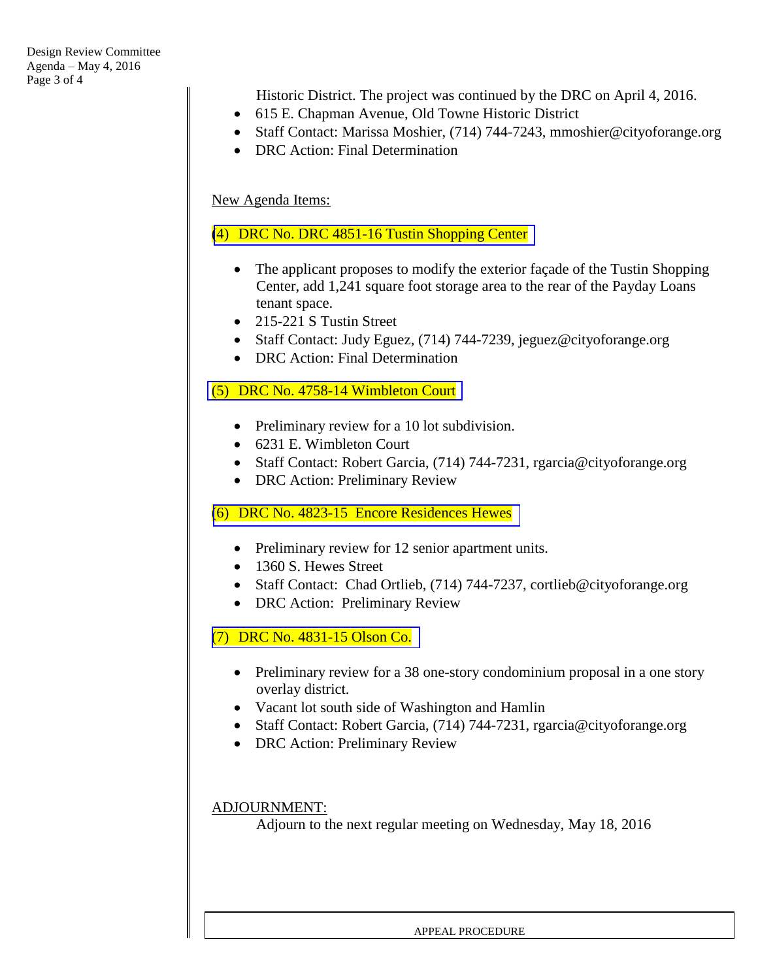Historic District. The project was continued by the DRC on April 4, 2016.

- 615 E. Chapman Avenue, Old Towne Historic District
- Staff Contact: Marissa Moshier, (714) 744-7243, mmoshier@cityoforange.org
- DRC Action: Final Determination

### New Agenda Items:

### (4) DRC No. DRC 4851-16 [Tustin Shopping Center](http://www.cityoforange.org/civicax/filebank/blobdload.aspx?BlobID=17681)

- The applicant proposes to modify the exterior façade of the Tustin Shopping Center, add 1,241 square foot storage area to the rear of the Payday Loans tenant space.
- 215-221 S Tustin Street
- Staff Contact: Judy Eguez, (714) 744-7239, jeguez@cityoforange.org
- DRC Action: Final Determination

### (5) DRC No. [4758-14 Wimbleton Court](http://www.cityoforange.org/civicax/filebank/blobdload.aspx?BlobID=17682)

- Preliminary review for a 10 lot subdivision.
- 6231 E. Wimbleton Court
- Staff Contact: Robert Garcia, (714) 744-7231, rgarcia@cityoforange.org
- DRC Action: Preliminary Review

#### (6) DRC No. [4823-15 Encore Residences Hewes](http://www.cityoforange.org/civicax/filebank/blobdload.aspx?BlobID=17683)

- Preliminary review for 12 senior apartment units.
- 1360 S. Hewes Street
- Staff Contact: Chad Ortlieb, (714) 744-7237, cortlieb@cityoforange.org
- DRC Action: Preliminary Review

(7) DRC No. [4831-15 Olson Co.](http://www.cityoforange.org/civicax/filebank/blobdload.aspx?BlobID=17684)

- Preliminary review for a 38 one-story condominium proposal in a one story overlay district.
- Vacant lot south side of Washington and Hamlin
- Staff Contact: Robert Garcia, (714) 744-7231, rgarcia@cityoforange.org
- DRC Action: Preliminary Review

#### ADJOURNMENT:

Adjourn to the next regular meeting on Wednesday, May 18, 2016